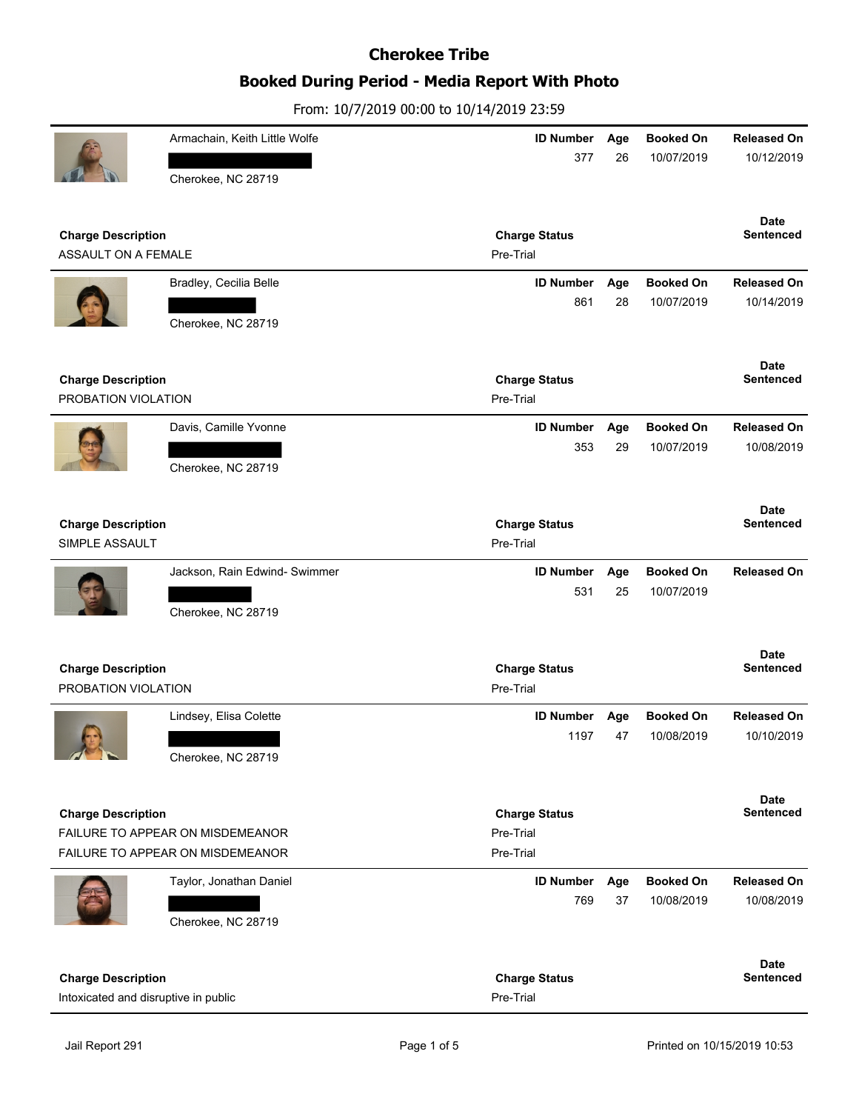# **Booked During Period - Media Report With Photo**

|                                                                      | Armachain, Keith Little Wolfe | <b>ID Number</b><br>377           | Age<br>26 | <b>Booked On</b><br>10/07/2019 | <b>Released On</b><br>10/12/2019 |
|----------------------------------------------------------------------|-------------------------------|-----------------------------------|-----------|--------------------------------|----------------------------------|
|                                                                      | Cherokee, NC 28719            |                                   |           |                                |                                  |
| <b>Charge Description</b>                                            |                               | <b>Charge Status</b>              |           |                                | <b>Date</b><br><b>Sentenced</b>  |
| ASSAULT ON A FEMALE                                                  |                               | Pre-Trial                         |           |                                |                                  |
|                                                                      | Bradley, Cecilia Belle        | <b>ID Number</b>                  | Age       | <b>Booked On</b>               | <b>Released On</b>               |
|                                                                      |                               | 861                               | 28        | 10/07/2019                     | 10/14/2019                       |
|                                                                      | Cherokee, NC 28719            |                                   |           |                                |                                  |
|                                                                      |                               |                                   |           |                                | <b>Date</b>                      |
| <b>Charge Description</b><br>PROBATION VIOLATION                     |                               | <b>Charge Status</b><br>Pre-Trial |           |                                | <b>Sentenced</b>                 |
|                                                                      |                               |                                   |           |                                |                                  |
|                                                                      | Davis, Camille Yvonne         | <b>ID Number</b><br>353           | Age<br>29 | <b>Booked On</b><br>10/07/2019 | <b>Released On</b><br>10/08/2019 |
|                                                                      | Cherokee, NC 28719            |                                   |           |                                |                                  |
|                                                                      |                               |                                   |           |                                |                                  |
|                                                                      |                               |                                   |           |                                | <b>Date</b>                      |
| <b>Charge Description</b><br>SIMPLE ASSAULT                          |                               | <b>Charge Status</b><br>Pre-Trial |           |                                | <b>Sentenced</b>                 |
|                                                                      |                               |                                   |           |                                |                                  |
|                                                                      | Jackson, Rain Edwind- Swimmer | <b>ID Number</b>                  | Age       | <b>Booked On</b>               | <b>Released On</b>               |
|                                                                      |                               | 531                               | 25        | 10/07/2019                     |                                  |
|                                                                      | Cherokee, NC 28719            |                                   |           |                                |                                  |
|                                                                      |                               |                                   |           |                                | <b>Date</b>                      |
| <b>Charge Description</b>                                            |                               | <b>Charge Status</b>              |           |                                | <b>Sentenced</b>                 |
| PROBATION VIOLATION                                                  |                               | Pre-Trial                         |           |                                |                                  |
|                                                                      | Lindsey, Elisa Colette        | <b>ID Number</b>                  | Age       | <b>Booked On</b>               | <b>Released On</b>               |
|                                                                      |                               | 1197                              | 47        | 10/08/2019                     | 10/10/2019                       |
| $\blacksquare$                                                       | Cherokee, NC 28719            |                                   |           |                                |                                  |
|                                                                      |                               |                                   |           |                                | <b>Date</b>                      |
| <b>Charge Description</b>                                            |                               | <b>Charge Status</b><br>Pre-Trial |           |                                | Sentenced                        |
| FAILURE TO APPEAR ON MISDEMEANOR<br>FAILURE TO APPEAR ON MISDEMEANOR |                               | Pre-Trial                         |           |                                |                                  |
|                                                                      |                               |                                   |           |                                |                                  |
|                                                                      | Taylor, Jonathan Daniel       | <b>ID Number</b><br>769           | Age<br>37 | <b>Booked On</b><br>10/08/2019 | <b>Released On</b><br>10/08/2019 |
|                                                                      | Cherokee, NC 28719            |                                   |           |                                |                                  |
|                                                                      |                               |                                   |           |                                |                                  |
|                                                                      |                               |                                   |           |                                | <b>Date</b>                      |
| <b>Charge Description</b>                                            |                               | <b>Charge Status</b><br>Pre-Trial |           |                                | <b>Sentenced</b>                 |
| Intoxicated and disruptive in public                                 |                               |                                   |           |                                |                                  |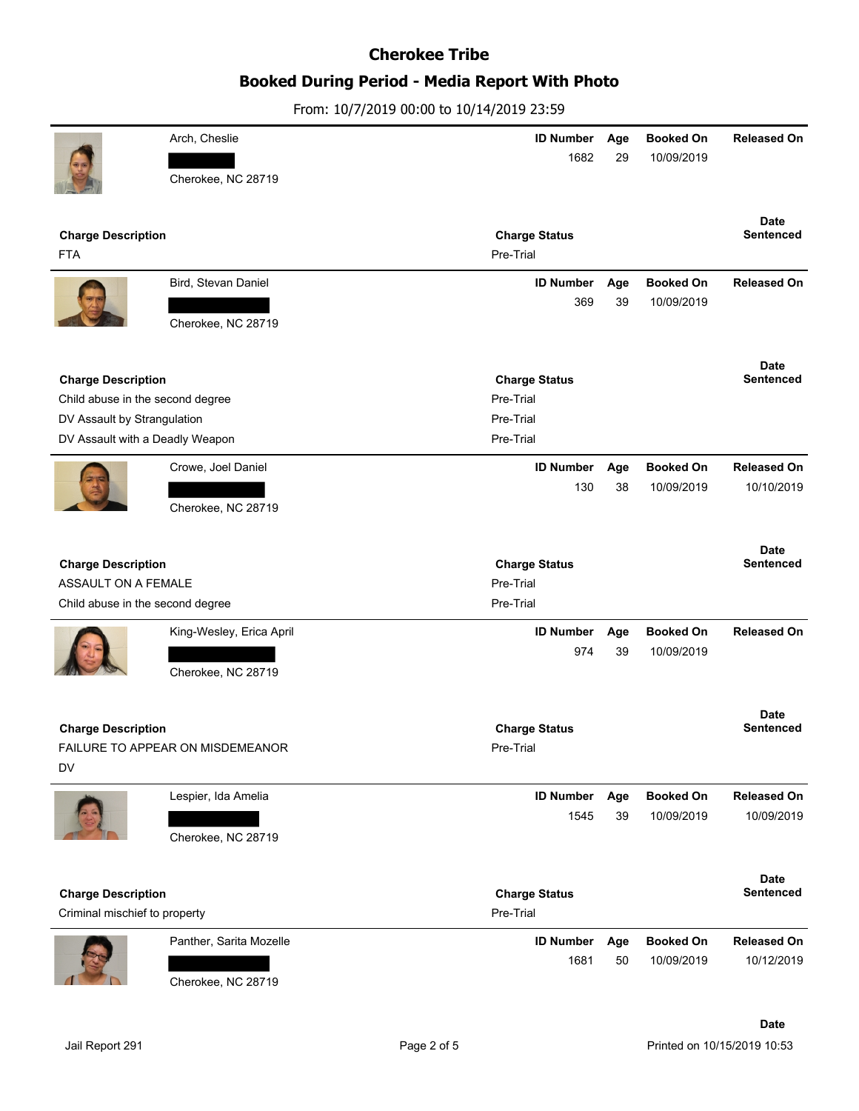# **Booked During Period - Media Report With Photo**

|                                                               | Arch, Cheslie                    | <b>ID Number</b><br>1682          | Age<br>29 | <b>Booked On</b><br>10/09/2019 | <b>Released On</b>              |
|---------------------------------------------------------------|----------------------------------|-----------------------------------|-----------|--------------------------------|---------------------------------|
|                                                               | Cherokee, NC 28719               |                                   |           |                                |                                 |
|                                                               |                                  |                                   |           |                                | <b>Date</b>                     |
| <b>Charge Description</b><br><b>FTA</b>                       |                                  | <b>Charge Status</b><br>Pre-Trial |           |                                | Sentenced                       |
|                                                               | Bird, Stevan Daniel              | <b>ID Number</b>                  | Age       | <b>Booked On</b>               | <b>Released On</b>              |
|                                                               | Cherokee, NC 28719               | 369                               | 39        | 10/09/2019                     |                                 |
|                                                               |                                  |                                   |           |                                | <b>Date</b><br><b>Sentenced</b> |
| <b>Charge Description</b><br>Child abuse in the second degree |                                  | <b>Charge Status</b><br>Pre-Trial |           |                                |                                 |
| DV Assault by Strangulation                                   |                                  | Pre-Trial                         |           |                                |                                 |
| DV Assault with a Deadly Weapon                               |                                  | Pre-Trial                         |           |                                |                                 |
|                                                               | Crowe, Joel Daniel               | <b>ID Number</b>                  | Age       | <b>Booked On</b>               | <b>Released On</b>              |
|                                                               |                                  | 130                               | 38        | 10/09/2019                     | 10/10/2019                      |
|                                                               | Cherokee, NC 28719               |                                   |           |                                |                                 |
|                                                               |                                  |                                   |           |                                | <b>Date</b>                     |
| <b>Charge Description</b><br>ASSAULT ON A FEMALE              |                                  | <b>Charge Status</b><br>Pre-Trial |           |                                | <b>Sentenced</b>                |
| Child abuse in the second degree                              |                                  | Pre-Trial                         |           |                                |                                 |
|                                                               |                                  | <b>ID Number</b>                  |           | <b>Booked On</b>               | <b>Released On</b>              |
|                                                               | King-Wesley, Erica April         | 974                               | Age<br>39 | 10/09/2019                     |                                 |
|                                                               | Cherokee, NC 28719               |                                   |           |                                |                                 |
|                                                               |                                  |                                   |           |                                |                                 |
| <b>Charge Description</b>                                     |                                  | <b>Charge Status</b>              |           |                                | <b>Date</b><br><b>Sentenced</b> |
|                                                               | FAILURE TO APPEAR ON MISDEMEANOR | Pre-Trial                         |           |                                |                                 |
| DV                                                            |                                  |                                   |           |                                |                                 |
|                                                               | Lespier, Ida Amelia              | <b>ID Number</b>                  | Age       | <b>Booked On</b>               | <b>Released On</b>              |
|                                                               |                                  | 1545                              | 39        | 10/09/2019                     | 10/09/2019                      |
|                                                               | Cherokee, NC 28719               |                                   |           |                                |                                 |
|                                                               |                                  |                                   |           |                                | <b>Date</b>                     |
| <b>Charge Description</b><br>Criminal mischief to property    |                                  | <b>Charge Status</b><br>Pre-Trial |           |                                | Sentenced                       |
|                                                               | Panther, Sarita Mozelle          | <b>ID Number</b>                  | Age       | <b>Booked On</b>               | <b>Released On</b>              |
|                                                               |                                  |                                   |           |                                |                                 |
|                                                               |                                  | 1681                              | 50        | 10/09/2019                     | 10/12/2019                      |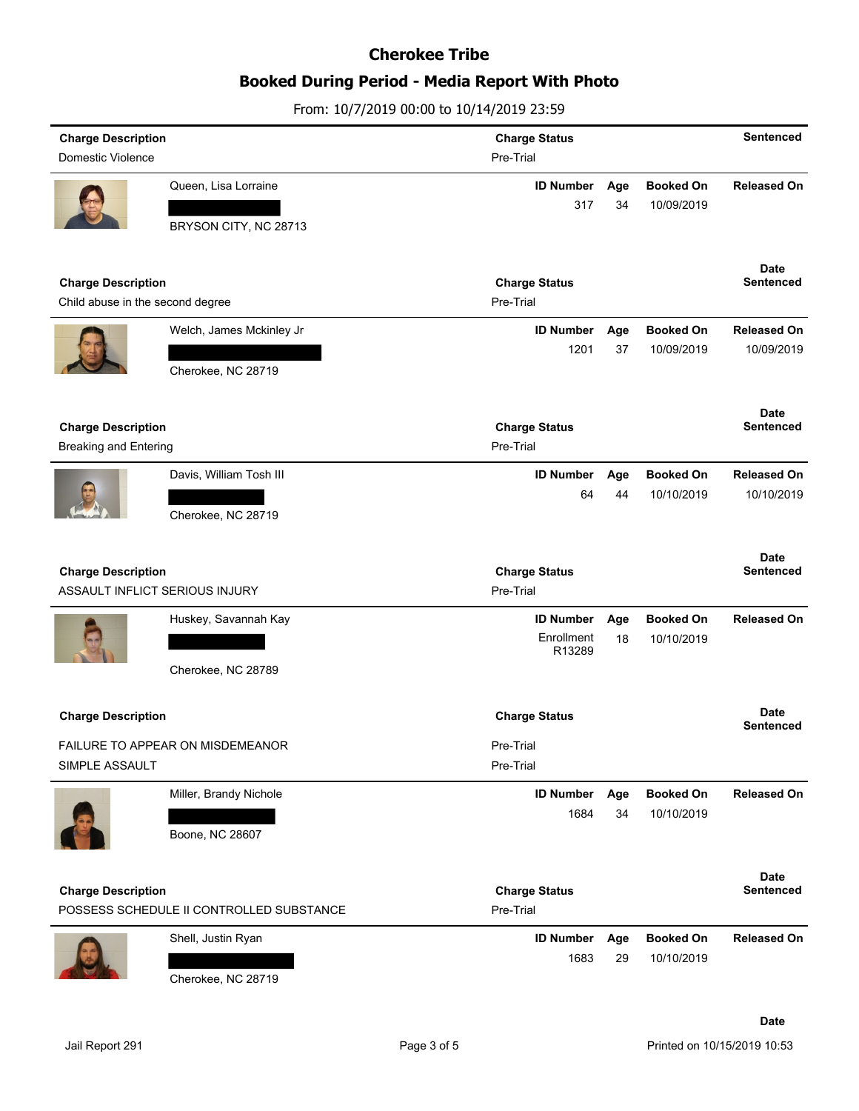## **Booked During Period - Media Report With Photo**

From: 10/7/2019 00:00 to 10/14/2019 23:59

| <b>Charge Description</b>                                     |                                          | <b>Charge Status</b>              |           |                                | Sentenced                       |
|---------------------------------------------------------------|------------------------------------------|-----------------------------------|-----------|--------------------------------|---------------------------------|
| Domestic Violence                                             |                                          | Pre-Trial                         |           |                                |                                 |
|                                                               | Queen, Lisa Lorraine                     | <b>ID Number</b>                  | Age       | <b>Booked On</b>               | <b>Released On</b>              |
|                                                               |                                          | 317                               | 34        | 10/09/2019                     |                                 |
|                                                               | BRYSON CITY, NC 28713                    |                                   |           |                                |                                 |
|                                                               |                                          |                                   |           |                                |                                 |
|                                                               |                                          |                                   |           |                                | <b>Date</b>                     |
| <b>Charge Description</b><br>Child abuse in the second degree |                                          | <b>Charge Status</b>              |           |                                | <b>Sentenced</b>                |
|                                                               |                                          | Pre-Trial                         |           |                                |                                 |
|                                                               | Welch, James Mckinley Jr                 | <b>ID Number</b>                  | Age       | <b>Booked On</b>               | <b>Released On</b>              |
|                                                               |                                          | 1201                              | 37        | 10/09/2019                     | 10/09/2019                      |
|                                                               | Cherokee, NC 28719                       |                                   |           |                                |                                 |
|                                                               |                                          |                                   |           |                                |                                 |
| <b>Charge Description</b>                                     |                                          | <b>Charge Status</b>              |           |                                | Date<br><b>Sentenced</b>        |
| <b>Breaking and Entering</b>                                  |                                          | Pre-Trial                         |           |                                |                                 |
|                                                               | Davis, William Tosh III                  | <b>ID Number</b>                  | Age       | <b>Booked On</b>               | <b>Released On</b>              |
|                                                               |                                          | 64                                | 44        | 10/10/2019                     | 10/10/2019                      |
|                                                               | Cherokee, NC 28719                       |                                   |           |                                |                                 |
|                                                               |                                          |                                   |           |                                |                                 |
|                                                               |                                          |                                   |           |                                | <b>Date</b>                     |
| <b>Charge Description</b>                                     |                                          |                                   |           |                                |                                 |
|                                                               |                                          | <b>Charge Status</b>              |           |                                | Sentenced                       |
|                                                               | ASSAULT INFLICT SERIOUS INJURY           | Pre-Trial                         |           |                                |                                 |
|                                                               | Huskey, Savannah Kay                     | <b>ID Number</b>                  | Age       | <b>Booked On</b>               | <b>Released On</b>              |
|                                                               |                                          | Enrollment                        | 18        | 10/10/2019                     |                                 |
|                                                               |                                          | R13289                            |           |                                |                                 |
|                                                               | Cherokee, NC 28789                       |                                   |           |                                |                                 |
|                                                               |                                          |                                   |           |                                | <b>Date</b>                     |
| <b>Charge Description</b>                                     |                                          | <b>Charge Status</b>              |           |                                | Sentenced                       |
|                                                               | <b>FAILURE TO APPEAR ON MISDEMEANOR</b>  | Pre-Trial                         |           |                                |                                 |
| SIMPLE ASSAULT                                                |                                          | Pre-Trial                         |           |                                |                                 |
|                                                               | Miller, Brandy Nichole                   | <b>ID Number</b>                  | Age       | <b>Booked On</b>               | <b>Released On</b>              |
|                                                               |                                          | 1684                              | 34        | 10/10/2019                     |                                 |
|                                                               | Boone, NC 28607                          |                                   |           |                                |                                 |
|                                                               |                                          |                                   |           |                                |                                 |
|                                                               |                                          |                                   |           |                                | <b>Date</b><br><b>Sentenced</b> |
| <b>Charge Description</b>                                     | POSSESS SCHEDULE II CONTROLLED SUBSTANCE | <b>Charge Status</b><br>Pre-Trial |           |                                |                                 |
|                                                               |                                          |                                   |           |                                |                                 |
|                                                               | Shell, Justin Ryan                       | <b>ID Number</b><br>1683          | Age<br>29 | <b>Booked On</b><br>10/10/2019 | <b>Released On</b>              |

**Date**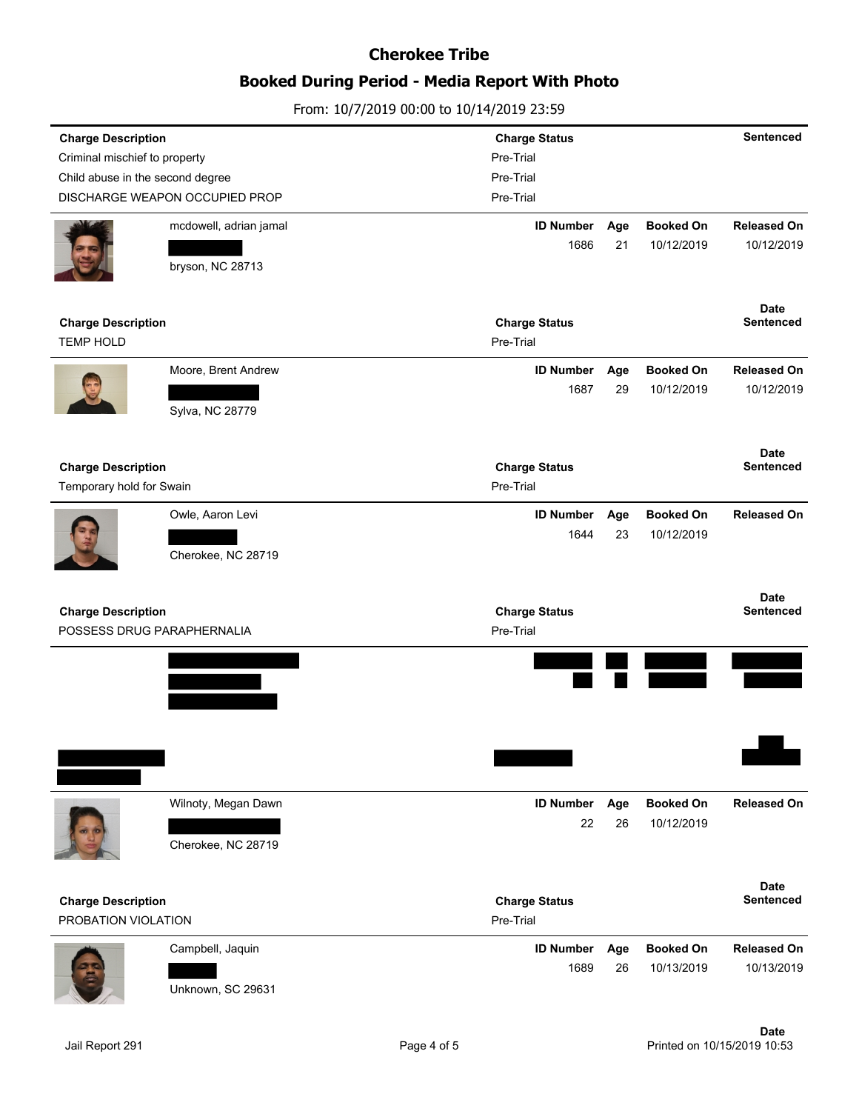## **Booked During Period - Media Report With Photo**

| <b>Charge Description</b>        |                                | <b>Charge Status</b>   |           |                                | <b>Sentenced</b>                |
|----------------------------------|--------------------------------|------------------------|-----------|--------------------------------|---------------------------------|
| Criminal mischief to property    |                                | Pre-Trial              |           |                                |                                 |
| Child abuse in the second degree |                                | Pre-Trial              |           |                                |                                 |
|                                  | DISCHARGE WEAPON OCCUPIED PROP | Pre-Trial              |           |                                |                                 |
|                                  | mcdowell, adrian jamal         | <b>ID Number</b>       | Age       | <b>Booked On</b>               | <b>Released On</b>              |
|                                  |                                | 1686                   | 21        | 10/12/2019                     | 10/12/2019                      |
|                                  | bryson, NC 28713               |                        |           |                                |                                 |
| <b>Charge Description</b>        |                                | <b>Charge Status</b>   |           |                                | <b>Date</b><br><b>Sentenced</b> |
| <b>TEMP HOLD</b>                 |                                | Pre-Trial              |           |                                |                                 |
|                                  | Moore, Brent Andrew            | <b>ID Number</b>       | Age       | <b>Booked On</b>               | <b>Released On</b>              |
|                                  |                                | 1687                   | 29        | 10/12/2019                     | 10/12/2019                      |
|                                  | Sylva, NC 28779                |                        |           |                                |                                 |
|                                  |                                |                        |           |                                | <b>Date</b>                     |
| <b>Charge Description</b>        |                                | <b>Charge Status</b>   |           |                                | Sentenced                       |
| Temporary hold for Swain         |                                | Pre-Trial              |           |                                |                                 |
|                                  | Owle, Aaron Levi               | <b>ID Number</b>       | Age       | <b>Booked On</b>               | <b>Released On</b>              |
|                                  |                                | 1644                   | 23        | 10/12/2019                     |                                 |
|                                  | Cherokee, NC 28719             |                        |           |                                |                                 |
|                                  |                                |                        |           |                                |                                 |
|                                  |                                |                        |           |                                | <b>Date</b>                     |
| <b>Charge Description</b>        |                                | <b>Charge Status</b>   |           |                                | <b>Sentenced</b>                |
|                                  | POSSESS DRUG PARAPHERNALIA     | Pre-Trial              |           |                                |                                 |
|                                  |                                |                        |           |                                |                                 |
|                                  |                                |                        |           |                                |                                 |
|                                  |                                |                        |           |                                |                                 |
|                                  |                                |                        |           |                                |                                 |
|                                  |                                |                        |           |                                |                                 |
|                                  |                                |                        |           |                                |                                 |
|                                  |                                |                        |           |                                |                                 |
|                                  | Wilnoty, Megan Dawn            | <b>ID Number</b><br>22 | Age<br>26 | <b>Booked On</b><br>10/12/2019 | <b>Released On</b>              |
|                                  | Cherokee, NC 28719             |                        |           |                                |                                 |
|                                  |                                |                        |           |                                | <b>Date</b>                     |
| <b>Charge Description</b>        |                                | <b>Charge Status</b>   |           |                                | <b>Sentenced</b>                |
| PROBATION VIOLATION              |                                | Pre-Trial              |           |                                |                                 |
|                                  | Campbell, Jaquin               | <b>ID Number</b>       | Age       | <b>Booked On</b>               | <b>Released On</b>              |
|                                  | Unknown, SC 29631              | 1689                   | 26        | 10/13/2019                     | 10/13/2019                      |